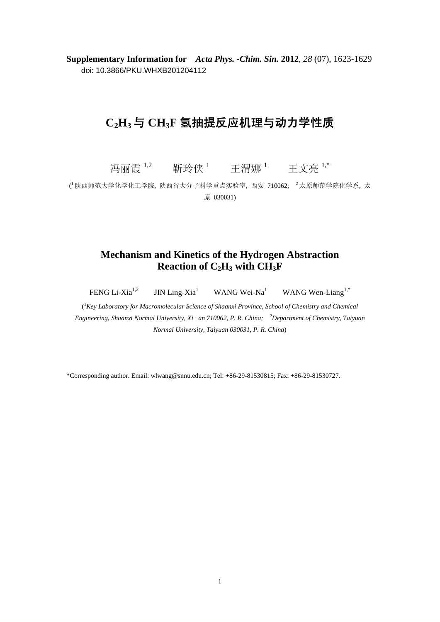**Supplementary Information for** *Acta Phys. -Chim. Sin.* **2012**, *28* (07), 1623-1629 doi: 10.3866/PKU.WHXB201204112

## **C2H3** 与 **CH3F** 氢抽提反应机理与动力学性质

冯丽霞<sup>1,2</sup> 靳玲侠<sup>1</sup> 王渭娜<sup>1</sup> 王文亮<sup>1,\*</sup>

( <sup>1</sup>陕西师范大学化学化工学院, 陕西省大分子科学重点实验室, 西安 710062; <sup>2</sup>太原师范学院化学系, 太 原 030031)

## **Mechanism and Kinetics of the Hydrogen Abstraction Reaction of C2H3 with CH3F**

FENG Li-Xia $^{1,2}$  $JIN$  Ling-Xia<sup>1</sup> WANG Wei-Na<sup>1</sup> WANG Wen-Liang<sup>1,\*</sup>

( 1 *Key Laboratory for Macromolecular Science of Shaanxi Province, School of Chemistry and Chemical Engineering, Shaanxi Normal University, Xian 710062, P. R. China;* <sup>2</sup> *Department of Chemistry, Taiyuan Normal University, Taiyuan 030031, P. R. China*)

\*Corresponding author. Email: wlwang@snnu.edu.cn; Tel: +86-29-81530815; Fax: +86-29-81530727.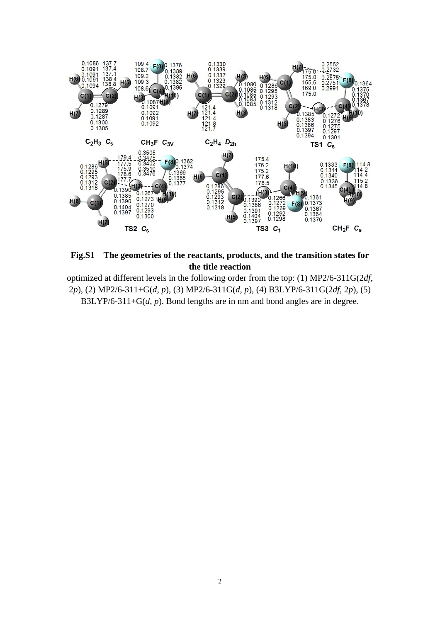

**Fig.S1 The geometries of the reactants, products, and the transition states for the title reaction** 

optimized at different levels in the following order from the top: (1) MP2/6-311G(2*df*, 2*p*), (2) MP2/6-311+G(*d*, *p*), (3) MP2/6-311G(*d*, *p*), (4) B3LYP/6-311G(2*df*, 2*p*), (5) B3LYP/6-311+G(*d*, *p*). Bond lengths are in nm and bond angles are in degree.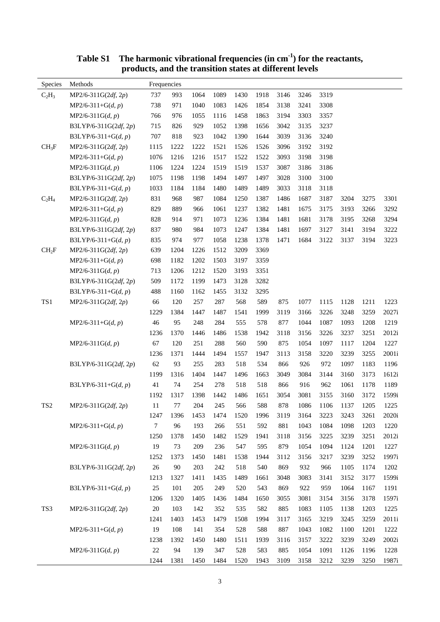| Species         | Methods                    | Frequencies    |        |      |      |      |      |      |      |      |      |      |       |
|-----------------|----------------------------|----------------|--------|------|------|------|------|------|------|------|------|------|-------|
| $C_2H_3$        | MP2/6-311G(2df, 2p)        | 737            | 993    | 1064 | 1089 | 1430 | 1918 | 3146 | 3246 | 3319 |      |      |       |
|                 | $MP2/6-311+G(d, p)$        | 738            | 971    | 1040 | 1083 | 1426 | 1854 | 3138 | 3241 | 3308 |      |      |       |
|                 | $MP2/6-311G(d, p)$         | 766            | 976    | 1055 | 1116 | 1458 | 1863 | 3194 | 3303 | 3357 |      |      |       |
|                 | B3LYP/6-311G(2df, 2p)      | 715            | 826    | 929  | 1052 | 1398 | 1656 | 3042 | 3135 | 3237 |      |      |       |
|                 | B3LYP/6-311+G(d, p)        | 707            | 818    | 923  | 1042 | 1390 | 1644 | 3039 | 3136 | 3240 |      |      |       |
| $CH_3F$         | $MP2/6-311G(2df, 2p)$      | 1115           | 1222   | 1222 | 1521 | 1526 | 1526 | 3096 | 3192 | 3192 |      |      |       |
|                 | $MP2/6-311+G(d, p)$        | 1076           | 1216   | 1216 | 1517 | 1522 | 1522 | 3093 | 3198 | 3198 |      |      |       |
|                 | $MP2/6-311G(d, p)$         | 1106           | 1224   | 1224 | 1519 | 1519 | 1537 | 3087 | 3186 | 3186 |      |      |       |
|                 | B3LYP/6-311G(2df, 2p)      | 1075           | 1198   | 1198 | 1494 | 1497 | 1497 | 3028 | 3100 | 3100 |      |      |       |
|                 | B3LYP/6-311+G(d, p)        | 1033           | 1184   | 1184 | 1480 | 1489 | 1489 | 3033 | 3118 | 3118 |      |      |       |
| $C_2H_4$        | $MP2/6-311G(2df, 2p)$      | 831            | 968    | 987  | 1084 | 1250 | 1387 | 1486 | 1687 | 3187 | 3204 | 3275 | 3301  |
|                 | $MP2/6-311+G(d, p)$        | 829            | 889    | 966  | 1061 | 1237 | 1382 | 1481 | 1675 | 3175 | 3193 | 3266 | 3292  |
|                 | $MP2/6-311G(d, p)$         | 828            | 914    | 971  | 1073 | 1236 | 1384 | 1481 | 1681 | 3178 | 3195 | 3268 | 3294  |
|                 | B3LYP/6-311G(2df, 2p)      | 837            | 980    | 984  | 1073 | 1247 | 1384 | 1481 | 1697 | 3127 | 3141 | 3194 | 3222  |
|                 | B3LYP/6-311+G(d, p)        | 835            | 974    | 977  | 1058 | 1238 | 1378 | 1471 | 1684 | 3122 | 3137 | 3194 | 3223  |
| $CH_2F$         | $MP2/6-311G(2df, 2p)$      | 639            | 1204   | 1226 | 1512 | 3209 | 3369 |      |      |      |      |      |       |
|                 | $MP2/6-311+G(d, p)$        | 698            | 1182   | 1202 | 1503 | 3197 | 3359 |      |      |      |      |      |       |
|                 | $MP2/6-311G(d, p)$         | 713            | 1206   | 1212 | 1520 | 3193 | 3351 |      |      |      |      |      |       |
|                 | B3LYP/6-311G(2df, 2p)      | 509            | 1172   | 1199 | 1473 | 3128 | 3282 |      |      |      |      |      |       |
|                 | B3LYP/6-311+G(d, p)        | 488            | 1160   | 1162 | 1455 | 3132 | 3295 |      |      |      |      |      |       |
| TS1             | $MP2/6-311G(2df, 2p)$      | 66             | 120    | 257  | 287  | 568  | 589  | 875  | 1077 | 1115 | 1128 | 1211 | 1223  |
|                 |                            | 1229           | 1384   | 1447 | 1487 | 1541 | 1999 | 3119 | 3166 | 3226 | 3248 | 3259 | 2027i |
|                 | $MP2/6-311+G(d, p)$        | 46             | 95     | 248  | 284  | 555  | 578  | 877  | 1044 | 1087 | 1093 | 1208 | 1219  |
|                 |                            | 1236           | 1370   | 1446 | 1486 | 1538 | 1942 | 3118 | 3156 | 3226 | 3237 | 3251 | 2012i |
|                 | $MP2/6-311G(d, p)$         | 67             | 120    | 251  | 288  | 560  | 590  | 875  | 1054 | 1097 | 1117 | 1204 | 1227  |
|                 |                            | 1236           | 1371   | 1444 | 1494 | 1557 | 1947 | 3113 | 3158 | 3220 | 3239 | 3255 | 2001i |
|                 | B3LYP/6-311G(2df, 2p)      | 62             | 93     | 255  | 283  | 518  | 534  | 866  | 926  | 972  | 1097 | 1183 | 1196  |
|                 |                            | 1199           | 1316   | 1404 | 1447 | 1496 | 1663 | 3049 | 3084 | 3144 | 3160 | 3173 | 1612i |
|                 | B3LYP/6-311+G( $d$ , $p$ ) | 41             | 74     | 254  | 278  | 518  | 518  | 866  | 916  | 962  | 1061 | 1178 | 1189  |
|                 |                            | 1192           | 1317   | 1398 | 1442 | 1486 | 1651 | 3054 | 3081 | 3155 | 3160 | 3172 | 1599i |
| TS <sub>2</sub> | $MP2/6-311G(2df, 2p)$      | 11             | 77     | 204  | 245  | 566  | 588  | 878  | 1086 | 1106 | 1137 | 1205 | 1225  |
|                 |                            | 1247           | 1396   | 1453 | 1474 | 1520 | 1996 | 3119 | 3164 | 3223 | 3243 | 3261 | 2020i |
|                 | $MP2/6-311+G(d, p)$        | $\overline{7}$ | 96     | 193  | 266  | 551  | 592  | 881  | 1043 | 1084 | 1098 | 1203 | 1220  |
|                 |                            | 1250           | 1378   | 1450 | 1482 | 1529 | 1941 | 3118 | 3156 | 3225 | 3239 | 3251 | 2012i |
|                 | $MP2/6-311G(d, p)$         | 19             | 73     | 209  | 236  | 547  | 595  | 879  | 1054 | 1094 | 1124 | 1201 | 1227  |
|                 |                            | 1252           | 1373   | 1450 | 1481 | 1538 | 1944 | 3112 | 3156 | 3217 | 3239 | 3252 | 1997i |
|                 | B3LYP/6-311G(2df, 2p)      | $26\,$         | $90\,$ | 203  | 242  | 518  | 540  | 869  | 932  | 966  | 1105 | 1174 | 1202  |
|                 |                            | 1213           | 1327   | 1411 | 1435 | 1489 | 1661 | 3048 | 3083 | 3141 | 3152 | 3177 | 1599i |
|                 | B3LYP/6-311+G(d, p)        | $25\,$         | 101    | 205  | 249  | 520  | 543  | 869  | 922  | 959  | 1064 | 1167 | 1191  |
|                 |                            | 1206           | 1320   | 1405 | 1436 | 1484 | 1650 | 3055 | 3081 | 3154 | 3156 | 3178 | 1597i |
| TS3             | MP2/6-311G(2df, 2p)        | $20\,$         | 103    | 142  | 352  | 535  | 582  | 885  | 1083 | 1105 | 1138 | 1203 | 1225  |
|                 |                            | 1241           | 1403   | 1453 | 1479 | 1508 | 1994 | 3117 | 3165 | 3219 | 3245 | 3259 | 2011i |
|                 | $MP2/6-311+G(d, p)$        | 19             | 108    | 141  | 354  | 528  | 588  | 887  | 1043 | 1082 | 1100 | 1201 | 1222  |
|                 |                            | 1238           | 1392   | 1450 | 1480 | 1511 | 1939 | 3116 | 3157 | 3222 | 3239 | 3249 | 2002i |
|                 | $MP2/6-311G(d, p)$         | $22\,$         | 94     | 139  | 347  | 528  | 583  | 885  | 1054 | 1091 | 1126 | 1196 | 1228  |
|                 |                            | 1244           | 1381   | 1450 | 1484 | 1520 | 1943 | 3109 | 3158 | 3212 | 3239 | 3250 | 1987i |

## **Table S1 The harmonic vibrational frequencies (in cm-1) for the reactants, products, and the transition states at different levels**